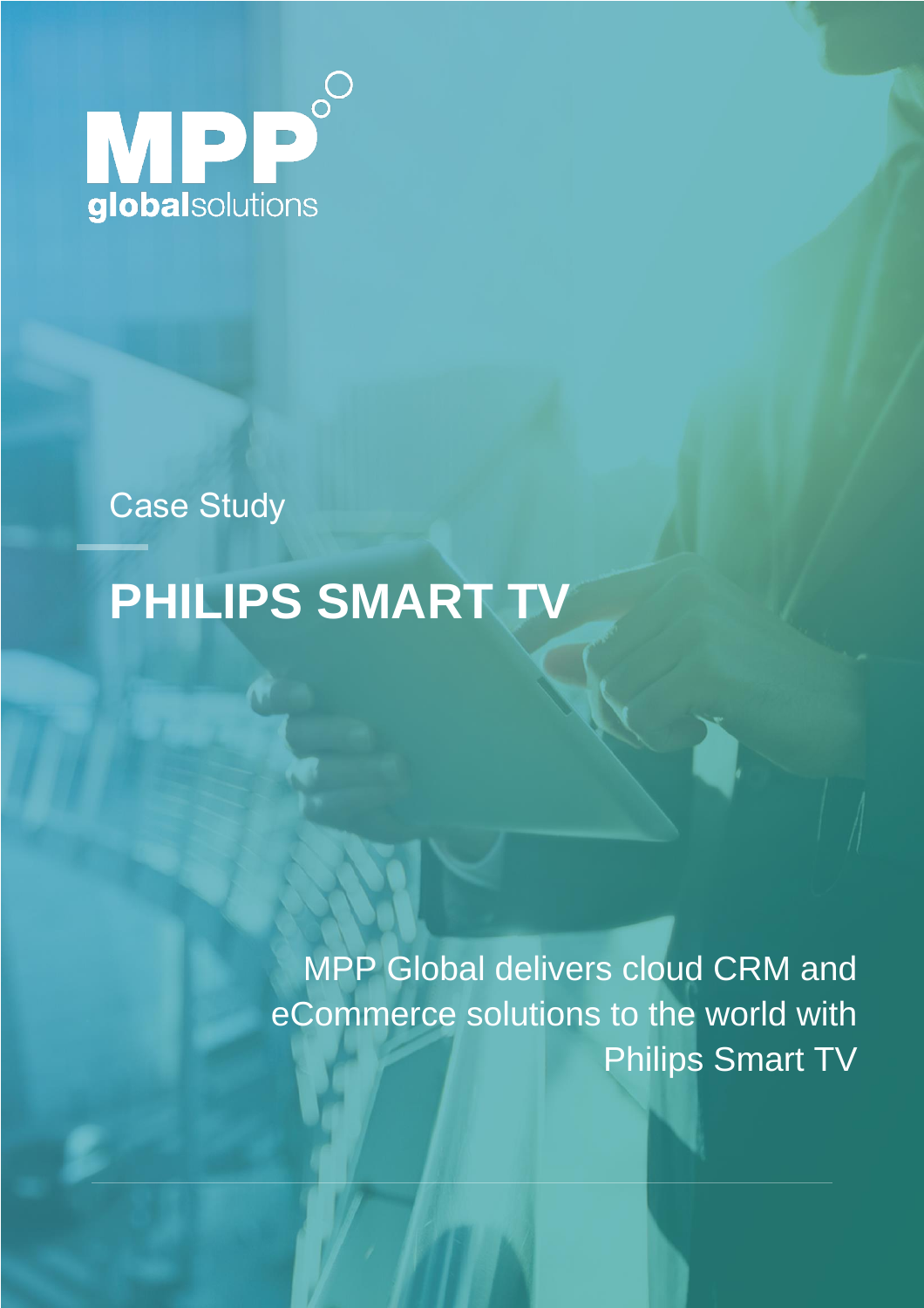

Case Study

# **PHILIPS SMART TV**

MPP Global delivers cloud CRM and eCommerce solutions to the world with Philips Smart TV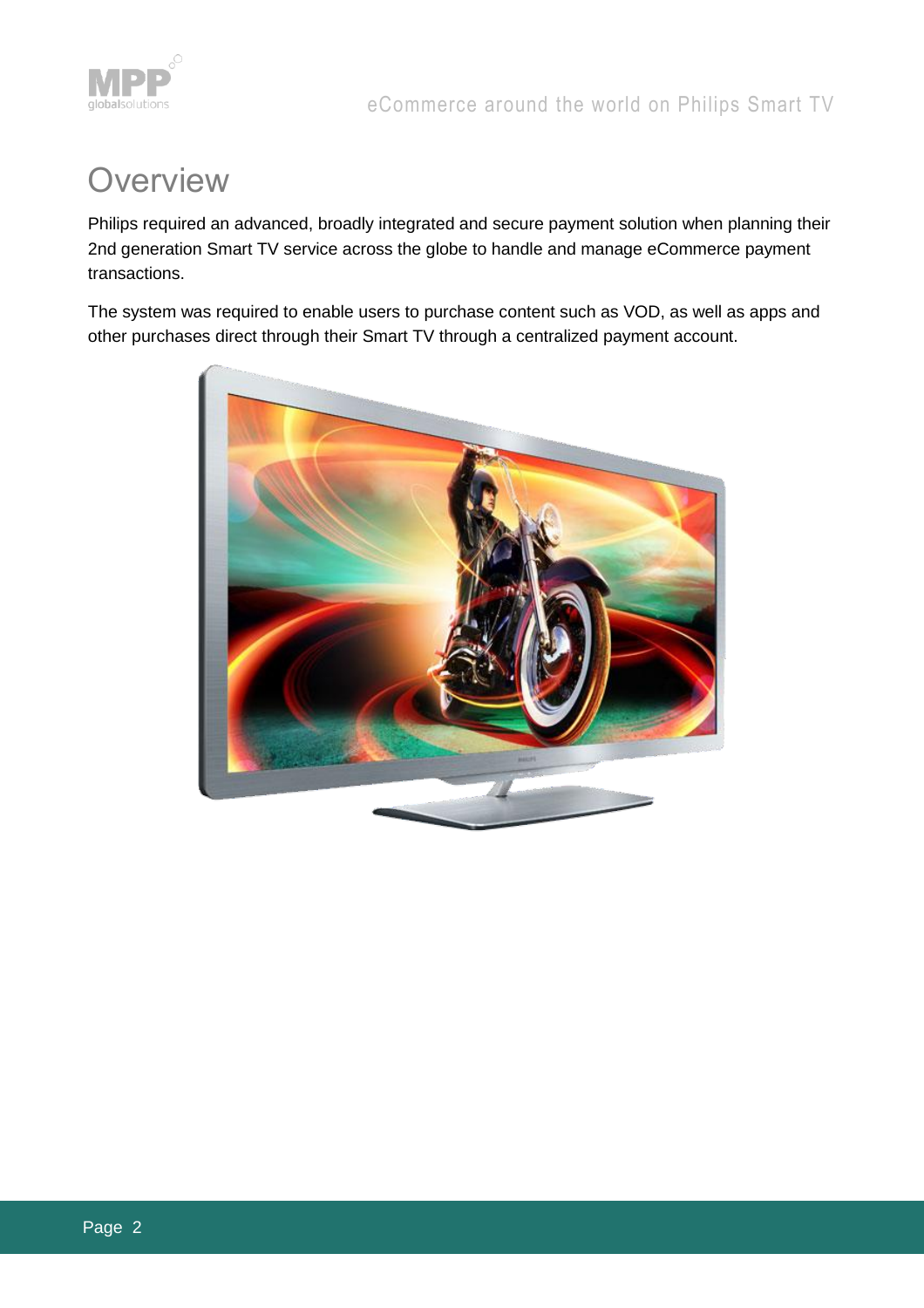

### **Overview**

Philips required an advanced, broadly integrated and secure payment solution when planning their 2nd generation Smart TV service across the globe to handle and manage eCommerce payment transactions.

The system was required to enable users to purchase content such as VOD, as well as apps and other purchases direct through their Smart TV through a centralized payment account.

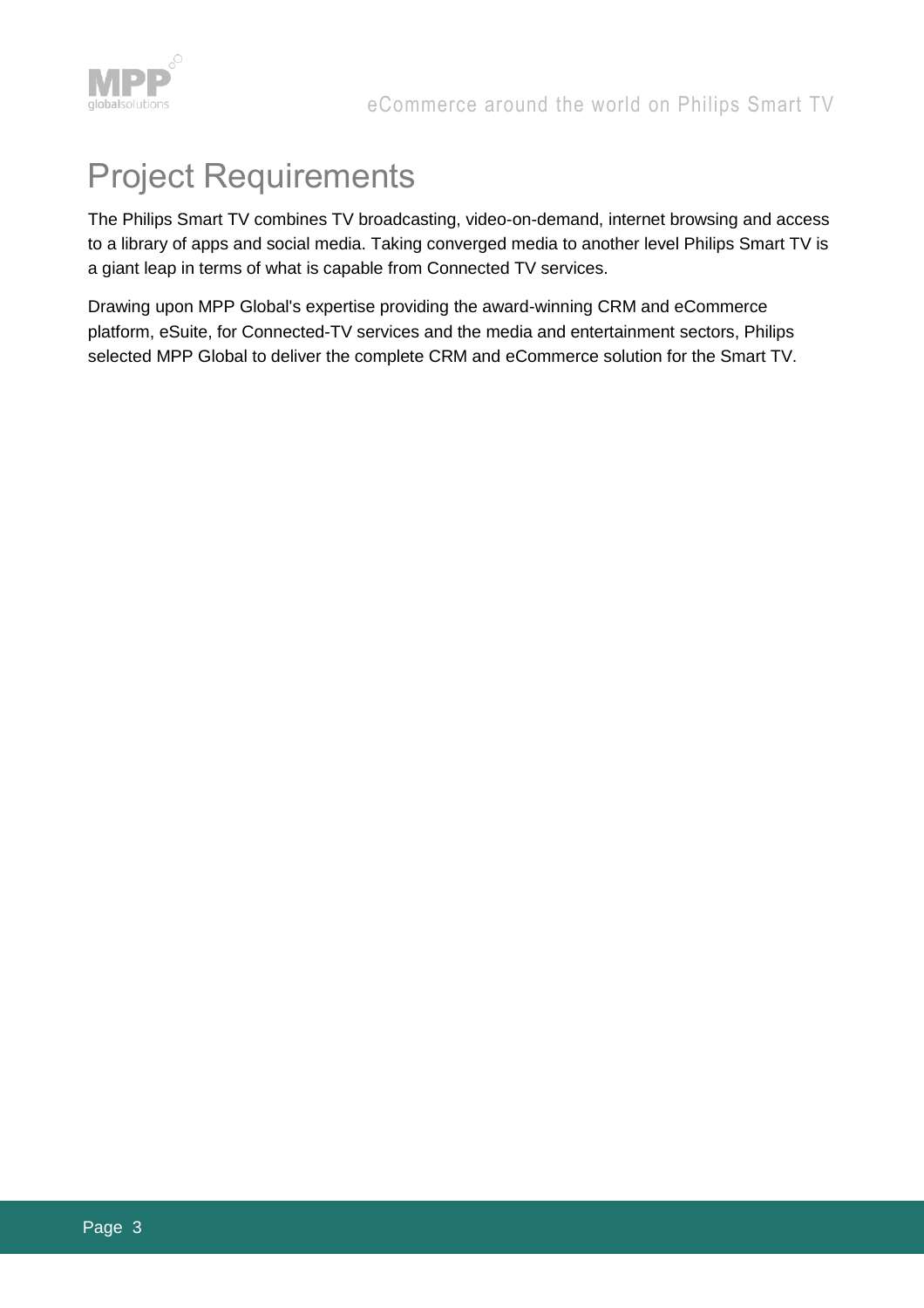

## Project Requirements

The Philips Smart TV combines TV broadcasting, video-on-demand, internet browsing and access to a library of apps and social media. Taking converged media to another level Philips Smart TV is a giant leap in terms of what is capable from Connected TV services.

Drawing upon MPP Global's expertise providing the award-winning CRM and eCommerce platform, eSuite, for Connected-TV services and the media and entertainment sectors, Philips selected MPP Global to deliver the complete CRM and eCommerce solution for the Smart TV.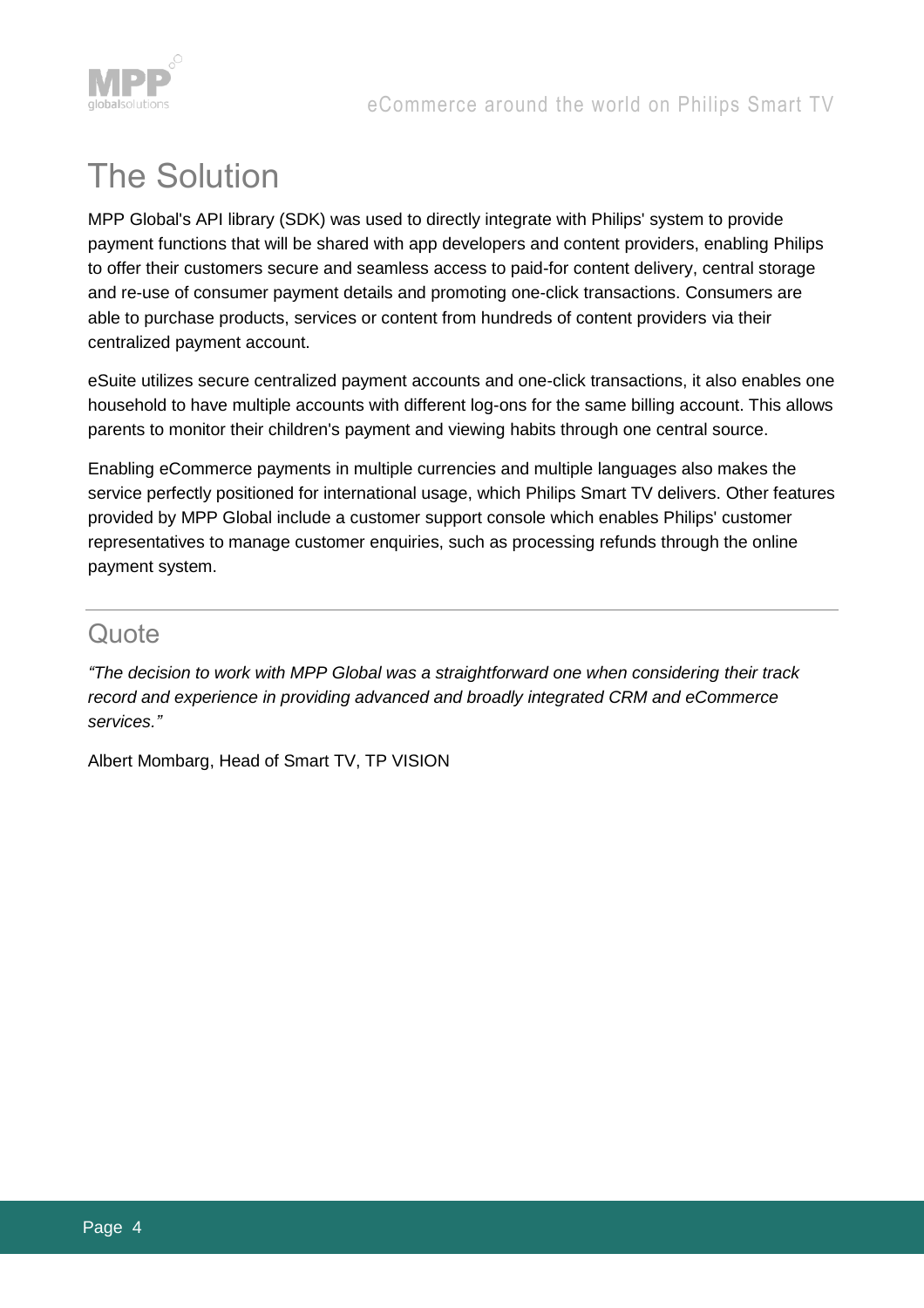

## The Solution

MPP Global's API library (SDK) was used to directly integrate with Philips' system to provide payment functions that will be shared with app developers and content providers, enabling Philips to offer their customers secure and seamless access to paid-for content delivery, central storage and re-use of consumer payment details and promoting one-click transactions. Consumers are able to purchase products, services or content from hundreds of content providers via their centralized payment account.

eSuite utilizes secure centralized payment accounts and one-click transactions, it also enables one household to have multiple accounts with different log-ons for the same billing account. This allows parents to monitor their children's payment and viewing habits through one central source.

Enabling eCommerce payments in multiple currencies and multiple languages also makes the service perfectly positioned for international usage, which Philips Smart TV delivers. Other features provided by MPP Global include a customer support console which enables Philips' customer representatives to manage customer enquiries, such as processing refunds through the online payment system.

#### **Quote**

*"The decision to work with MPP Global was a straightforward one when considering their track record and experience in providing advanced and broadly integrated CRM and eCommerce services."*

Albert Mombarg, Head of Smart TV, TP VISION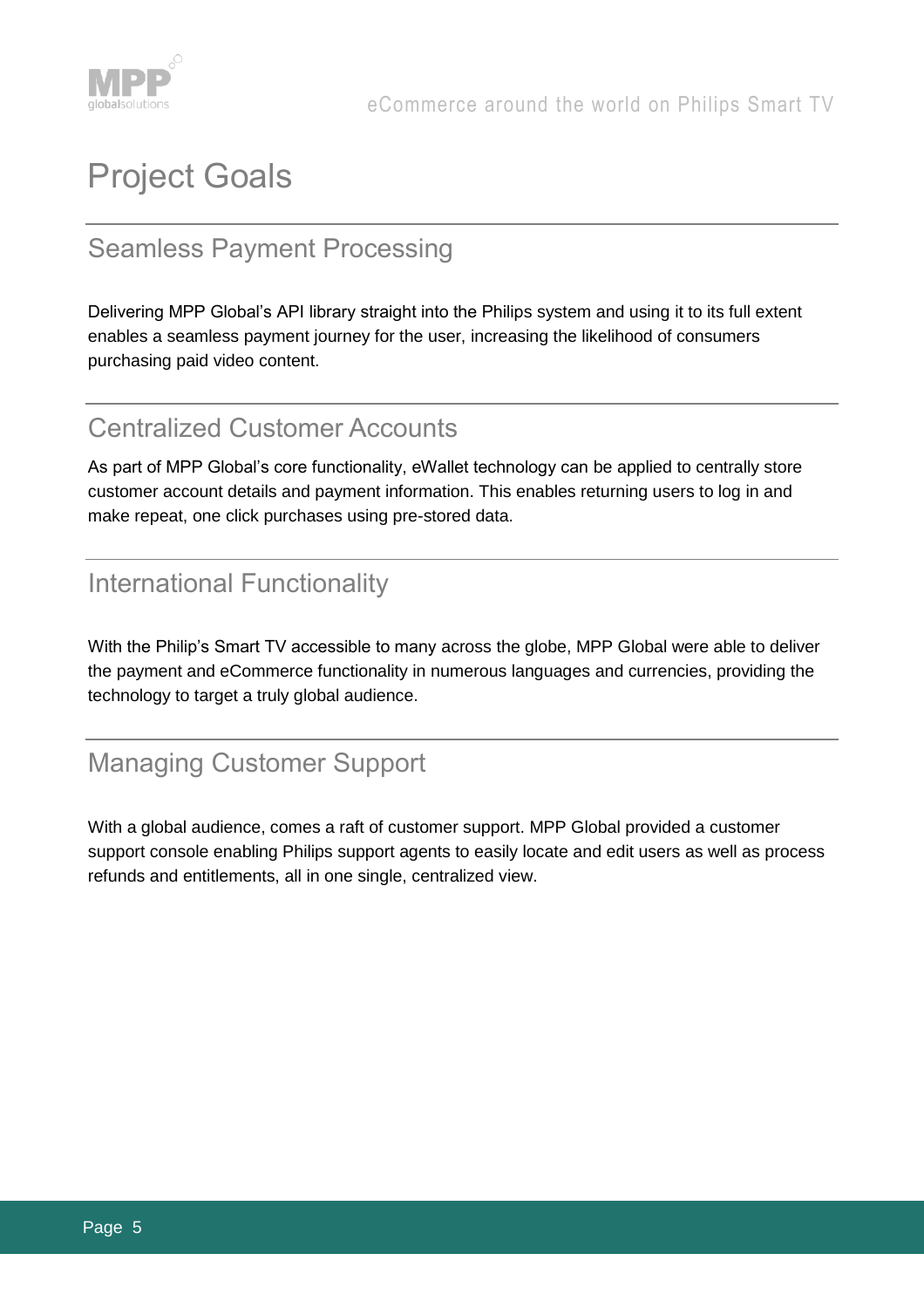

## Project Goals

#### Seamless Payment Processing

Delivering MPP Global's API library straight into the Philips system and using it to its full extent enables a seamless payment journey for the user, increasing the likelihood of consumers purchasing paid video content.

#### Centralized Customer Accounts

As part of MPP Global's core functionality, eWallet technology can be applied to centrally store customer account details and payment information. This enables returning users to log in and make repeat, one click purchases using pre-stored data.

#### International Functionality

With the Philip's Smart TV accessible to many across the globe, MPP Global were able to deliver the payment and eCommerce functionality in numerous languages and currencies, providing the technology to target a truly global audience.

#### Managing Customer Support

With a global audience, comes a raft of customer support. MPP Global provided a customer support console enabling Philips support agents to easily locate and edit users as well as process refunds and entitlements, all in one single, centralized view.